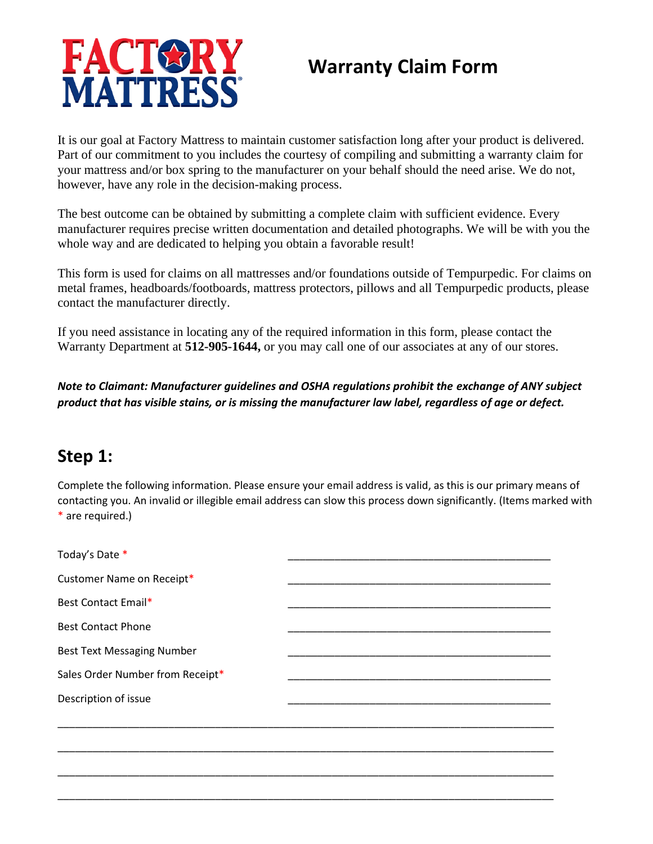

# **Warranty Claim Form**

It is our goal at Factory Mattress to maintain customer satisfaction long after your product is delivered. Part of our commitment to you includes the courtesy of compiling and submitting a warranty claim for your mattress and/or box spring to the manufacturer on your behalf should the need arise. We do not, however, have any role in the decision-making process.

The best outcome can be obtained by submitting a complete claim with sufficient evidence. Every manufacturer requires precise written documentation and detailed photographs. We will be with you the whole way and are dedicated to helping you obtain a favorable result!

This form is used for claims on all mattresses and/or foundations outside of Tempurpedic. For claims on metal frames, headboards/footboards, mattress protectors, pillows and all Tempurpedic products, please contact the manufacturer directly.

If you need assistance in locating any of the required information in this form, please contact the Warranty Department at **512-905-1644,** or you may call one of our associates at any of our stores.

*Note to Claimant: Manufacturer guidelines and OSHA regulations prohibit the exchange of ANY subject product that has visible stains, or is missing the manufacturer law label, regardless of age or defect.*

#### **Step 1:**

Complete the following information. Please ensure your email address is valid, as this is our primary means of contacting you. An invalid or illegible email address can slow this process down significantly. (Items marked with \* are required.)

| Today's Date *                    |  |
|-----------------------------------|--|
| Customer Name on Receipt*         |  |
| Best Contact Email*               |  |
| <b>Best Contact Phone</b>         |  |
| <b>Best Text Messaging Number</b> |  |
| Sales Order Number from Receipt*  |  |
| Description of issue              |  |
|                                   |  |
|                                   |  |
|                                   |  |
|                                   |  |